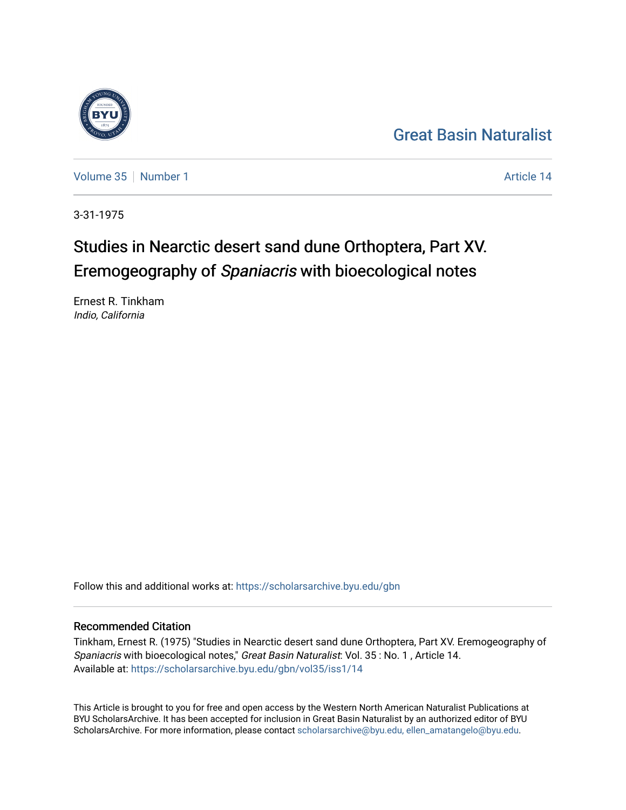## [Great Basin Naturalist](https://scholarsarchive.byu.edu/gbn)

[Volume 35](https://scholarsarchive.byu.edu/gbn/vol35) [Number 1](https://scholarsarchive.byu.edu/gbn/vol35/iss1) Article 14

3-31-1975

# Studies in Nearctic desert sand dune Orthoptera, Part XV. Eremogeography of Spaniacris with bioecological notes

Ernest R. Tinkham Indio, California

Follow this and additional works at: [https://scholarsarchive.byu.edu/gbn](https://scholarsarchive.byu.edu/gbn?utm_source=scholarsarchive.byu.edu%2Fgbn%2Fvol35%2Fiss1%2F14&utm_medium=PDF&utm_campaign=PDFCoverPages) 

### Recommended Citation

Tinkham, Ernest R. (1975) "Studies in Nearctic desert sand dune Orthoptera, Part XV. Eremogeography of Spaniacris with bioecological notes," Great Basin Naturalist: Vol. 35 : No. 1 , Article 14. Available at: [https://scholarsarchive.byu.edu/gbn/vol35/iss1/14](https://scholarsarchive.byu.edu/gbn/vol35/iss1/14?utm_source=scholarsarchive.byu.edu%2Fgbn%2Fvol35%2Fiss1%2F14&utm_medium=PDF&utm_campaign=PDFCoverPages) 

This Article is brought to you for free and open access by the Western North American Naturalist Publications at BYU ScholarsArchive. It has been accepted for inclusion in Great Basin Naturalist by an authorized editor of BYU ScholarsArchive. For more information, please contact [scholarsarchive@byu.edu, ellen\\_amatangelo@byu.edu.](mailto:scholarsarchive@byu.edu,%20ellen_amatangelo@byu.edu)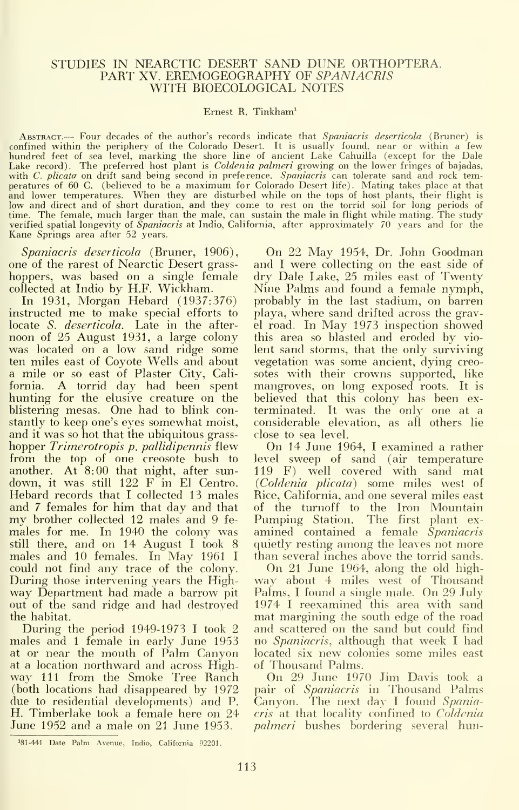#### STUDIES IN NEARCTIC DESERT SAND DUNE ORTHOPTERA. PART XV. EREMOGEOGRAPHY OF SPANIACRIS WITH BIOECOLOGICAL NOTES

#### Ernest R. Tinkham^

ABSTRACT. -- Four decades of the author's records indicate that Spaniacris deserticola (Bruner) is confined within the periphery of the Colorado Desert. It is usually found, near or within a few hundred feet of sea level, marking the shore line of ancient Lake Cahuilla (e.xcept for the Dale Lake record). The preferred host plant is *Coldenia palmeri* growing on the lower fringes of bajadas, with C. plicata on drift sand being second in preference. Spaniacris can tolerate sand and rock temperatures of 60 C. (believed to be a maximum for Colorado Desert life). Mating takes place at that<br>and lower temperatures. When they are disturbed while on the tops of host plants, their flight is<br>low and direct and of sho Kane Springs area after 52 years.

Spaniacris deserticola (Bruner, 1906), one of the rarest of Nearctic Desert grass hoppers, was based on a single female collected at Indio by H.F. Wickham.

In 1931, Morgan Hebard (1937:376) instructed me to make special efforts to locate S. deserticola. Late in the after noon of 25 August 1931, a large colony was located on a low sand ridge some ten miles east of Coyote Wells and about a mile or so east of Plaster City, California. A torrid day had been spent hunting for the elusive creature on the blistering mesas. One had to blink constantly to keep one's eyes somewhat moist, and it was so hot that the ubiquitous grass hopper Trimerotropis p. pallidipennis flew from the top of one creosote bush to another. At 8:00 that night, after sundown, itwas still 122 F in El Centro. Hebard records that <sup>I</sup> collected 13 males my brother collected 12 males and 9 females for me. In 1940 the colony was still there, and on 14 August I took 8 males and <sup>10</sup> females. In May <sup>1961</sup> <sup>I</sup> could not find any trace of the colony. During those intervening years the Highway Department had made a barrow pit out of the sand ridge and had destroyed the habitat.

During the period  $1949-1973$  I took 2 males and <sup>1</sup> female in early June 1953 at or near the mouth of Palm Canyon located six new colat a location northward and across High- of Thousand Palms. at a location northward and across Highway 111 from the Smoke Tree Ranch (both locations had disappeared by 1972 due to residential developments) and P. H. Timberlake took a female here on 24 June 1952 and a male on 21 June 1953.

On 22 May 1954, Dr. John Goodman and <sup>I</sup> were collecting on the east side of dry Dale Lake, 25 miles east of Twenty Nine Palms and found a female nymph, probably in the last stadium, on barren playa, where sand drifted across the gravel road. In May 1973 inspection showed this area so blasted and eroded by vio lent sand storms, that the only surviving vegetation was some ancient, dying creosotes with their crowns supported, like mangroves, on long exposed roots. It is believed that this colony has been ex terminated. It was the only one at a considerable elevation, as all others lie close to sea level.

On 14 June 1964, <sup>I</sup> examined <sup>a</sup> rather level sweep of sand (air temperature 119 F) well covered with sand mat {Coldenia plicata) some miles west of Rice, California, and one several miles east of the turnoff to the Iron Mountain<br>Pumping Station. The first plant examined contained a female Spaniacris quietly resting among the leaves not more than several inches above the torrid sands.

On 21 June 1964, along the old highway about 4 miles west of Thousand Palms, I found a single male. On 29 July 1974 I reexamined this area with sand mat margining the south edge of the road and scattered on the sand but could find no Spaniacris, although that week <sup>I</sup> had located six new colonies some miles east

On 29 June 1970 Jim Davis took a pair of Spaniacris in Thousand Palms Canyon. The next day I found Spaniacris at that locality confined to Coldenia *palmeri* bushes bordering several hun-

<sup>&</sup>lt;sup>181-441</sup> Date Palm Avenue, Indio, California 92201.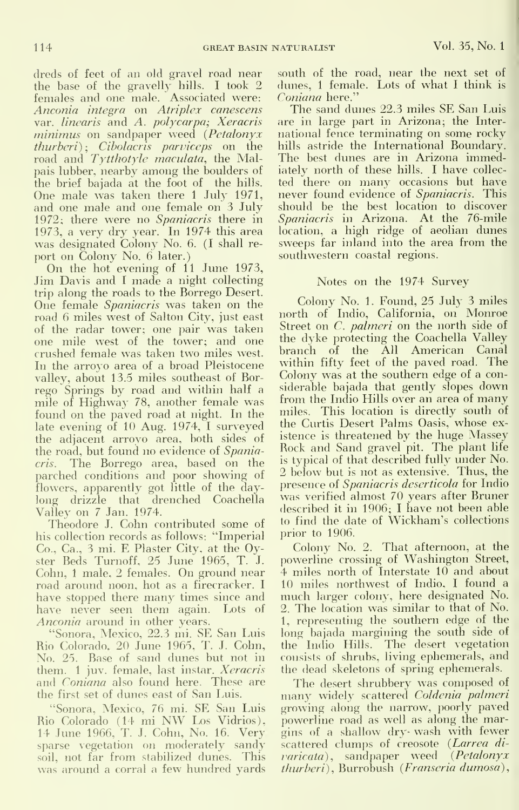dreds of feet of an old gravel road near the base of the gravelly hills. I took 2 dun<br>females and one male. Associated were: Con Anconia integra on Atriplex canescens var. linearis and A. polycarpa; Xeracris minimus on sandpaper weed (Petalonyx *thurberi*); Ci*bolacris parviceps* on the -hil<br>road and T*ytthotyle maculata*, the Mal- - Th pais lubber, nearby among the boulders of the brief bajada at the foot of the hills. One male was taken there 1 July 1971, and one male and one female on 3 July 1972; there were no Spaniacris there in 1973, a very dry year. In 1974 this area was designated Colony No. 6. (I shall re port on Colony No. 6 later.)

On the hot evening of <sup>11</sup> June 1973, Jim Davis and I made a night collecting trip along the roads to the Borrego Desert. One female Spaniacris was taken on the road 6 miles west of Salton City, just east of the radar tower; one pair was taken one mile west of the tower; and one the crushed female was taken two miles west. In the arroyo area of a broad Pleistocene valley, about 13.5 miles southeast of Bor rego Springs by road and within half a mile of Highway 78, another female was found on the paved road at night. In the late evening of 10 Aug. 1974, <sup>I</sup> surveyed the adjacent arroyo area, both sides of the road, but found no evidence of Spaniacris. The Borrego area, based on the parched conditions and poor showing of flowers, apparently got little of the daylong drizzle that drenched Coachella Valley on 7 Jan. 1974.

Theodore J. Cohn contributed some of his collection records as follows: "Imperial Co., Ca., <sup>3</sup> mi. E Plaster City, at the Oyster Beds Turnoff, 25 June 1965, T. J. Cohn, <sup>1</sup> male, 2 females. On ground near road around noon, hot as a firecracker. <sup>I</sup> have stopped there many times since and have never seen them again. Lots of Anconia around in other years.

"Sonora, Mexico, 22.3 mi. SE San Luis Rio Colorado, 20 June 1965, T. J. Cohn, No. 25. Base of sand dunes but not in them. 1 juv. female, last instar. Xeracris and Coniana also found here. These are The desert shrubbery was composed of the first set of dunes east of San Luis.

"Sonora, Mexico, 76 mi. SE San Luis Rio Colorado (14 mi NW Los Vidrios). 14 June 1966, T. J. Cohn, No. 16. Very sparse vegetation on moderately sandy soil, not far from stabilized dunes. This was around a corral a few hundred yards south of the road, near the next set of dunes, <sup>1</sup> female. Lots of what <sup>I</sup> think is Coniana here."

The sand dunes 22.3 miles SE San Luis are in large part in Arizona; the Inter national fence terminating on some rocky hills astride the International Boundary. The best dunes are in Arizona immediately north of these hills. <sup>I</sup> have collec ted there on many occasions but have never found evidence of Spaniacris. This should be the best location to discover Spaniacris in Arizona. At the 76-mile location, a high ridge of aeolian dunes sweeps far inland into the area from the southwestern coastal regions.

#### Notes on the 1974 Survey

Colony No. 1. Found, 25 July 3 miles north of Indio, California, on Monroe Street on C. *palmeri* on the north side of the dyke protecting the Coachella Valley branch of the All American Canal within fifty feet of the paved road. The Colony was at the southern edge of a considerable bajada that gently slopes down from the Indio Hills over an area of many miles. This location is directly south of the Curtis Desert Palms Oasis, whose ex istence is threatened by the huge Massey Rock and Sand gravel pit. The plant life is typical of that described fully under No. 2 below but is not as extensive. Thus, the presence of Spaniacris deserticola for Indio was verified almost 70 years after Bruner described it in 1906; <sup>I</sup> have not been able to find the date of Wickham's collections prior to 1906.

Colony No. 2. That afternoon, at the powerline crossing of Washington Street, 4 miles north of Interstate 10 and about 10 miles northwest of Indio, <sup>I</sup> found a much larger colony, here designated No. 2. The location was similar to that of No. 1, representing the southern edge of the long bajada margining the south side of the Indio Hills. The desert vegetation consists of shrubs, living ephemerals, and the dead skeletons of spring ephemerals.

many widely scattered Coldenia palmeri growing along the narrow, poorly paved powerline road as well as along the margins of a shallow dry- wash with fewer scattered clumps of creosote (Larrea divaricata), sandpaper weed (Petalonyx thurheri), Burrobush (Franseria dumosa),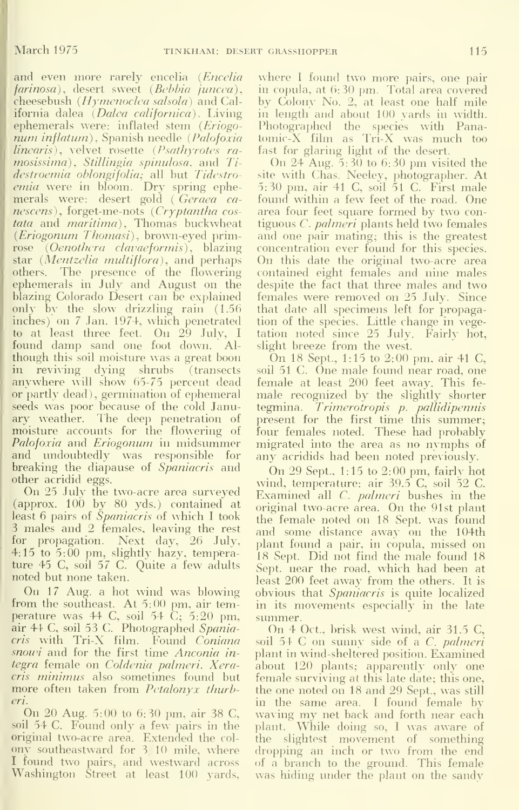and even more rarely encelia (Encelia  $farnosa)$ , desert sweet ( $Bebbia$  juncea), cheesebush  $(Hymenoclea$  salsola) and California dalea (Dalea californica). Living ephemerals were: inflated stem (Eriogonum inflatum), Spanish needle (Palofoxia linearis), velvet rosette (Psathyrotes ramosissima), Stillingia spinulosa, and Tidestroemia oblongifolia; all but Tidestroemia were in bloom. Dry spring ephemerals were: desert gold ( Geraea ca $nescens$ ), forget-me-nots (Cryptantha costata and maritima), Thomas buckwheat (*Eriogonum Thomasi*), brown-eyed primrose (Oenothera clavaeformis), blazing star (Mentzelia multiflora), and perhaps others. The presence of the flowering cphemerals in July and August on the blazing Colorado Desert can be explained only by the slow drizzling rain (1.56) inches) on 7 Jan. 1974, which penetrated to at least three feet. On 29 July, I<br>found damp sand one foot down. Alfound damp sand one foot down. though this soil moisture w^as a great boon in reviving dying shrubs (transects anywhere will show 65-75 percent dead or partly dead), germination of ephemeral seeds was poor because of the cold January weather. The deep penetration of moisture accounts for the flowering of Palofoxia and Eriogonum in midsummer and undoubtedly was responsible for breaking the diapause of *Spaniacris* and other acridid eggs.

On 25 July the two-acre area surveyed  $\alpha$  (approx. 100 by 80 yds.) contained at least 6 pairs of Spaniacris of which I took <sup>3</sup> males and 2 females, leaving the rest for propagation. Next day, 26 July, 4:15 to 5:00 pm, slightly hazy, temperature 45 C, soil 57 C. Quite a few adults noted but none taken.

On 17 Aug. a hot wind was blowing from the southeast. At 5:00 pm, air temperature was 44 C, soil 54 C; 5:20 pm, sum:<br>air 44 C, soil 53 C. Photographed *Spania*- O; cris with Tri-X film. Found Coniana snowi and for the first time Anconia integra female on Coldenia palmeri. Xeracris minimus also sometimes found but more often taken from *Petalonyx thurb*eri.

On 20 Aug. 5:00 to 6:30 pm, air 38 C, soil 54 C. Found only a few pairs in the original two-acre area. Extended the col ony southeastward for 3/10 mile, where <sup>I</sup> found two pairs, and westward across Washington Street at least 100 yards.

where <sup>I</sup> found two more pairs, one pair in copula, at 6:30 pm. Total area covered by Colony No. 2, at least one half mile in length and about 100 yards in width. Photographed the species with Pana tomic-X film as Tri-X was much too fast for glaring light of the desert.

On 24 Aug. 5:30 to 6:30 pm visited the site with Chas. Neeley, photographer. At 5:30 pm, air 41 C, soil 51 C. First male found within a few feet of the road. One area four feet square formed by two con tiguous C. palmeri plants held two females and one pair mating; this is the greatest concentration ever found for this species. On this date the original two-acre area contained eight females and nine males despite the fact that three males and two females were removed on 25 July. Since that date all specimens left for propagation of the species. Little change in vegetation noted since 25 July. Fairly hot, slight breeze from the west.

On 18 Sept., 1:15 to 2:00 pm, air 41 C, soil 51 C. One male found near road, one female at least 200 feet away. This fe male recognized by the slightly shorter tegmina. Trimerotropis p. pallidipennis present for the first time this summer; four females noted. These had probably migrated into the area as no nymphs of any acridids had been noted previously.

On 29 Sept., 1:15 to 2:00 pm, fairly hot wind, temperature: air 39.5 C, soil 52 C. Examined all C. *palmeri* bushes in the original two-acre area. On the 91st plant the female noted on 18 Sept. was found and some distance away on the 104th plant found a pair, in copula, missed on 18 Sept. Did not find the male found 18 Sept. near the road, which had been at least 200 feet away from the others. It is obvious that Spaniacris is quite localized in its movements especially in the late

On 4 Oct., brisk west wind, air  $31.5$  C, soil 54 C on sunny side of a *C. palmeri*<br>plant in wind-sheltered position. Examined about 120 plants; apparently only one female surviving at this late date; this one, the one noted on 18 and 29 Sept., was still in the same area. <sup>I</sup> found female by waving my net back and forth near each plant. While doing so, <sup>I</sup> was aware of the slightest movement of something dropping an inch or two from the end of a branch to the ground. This female was hiding under the plant on the sandy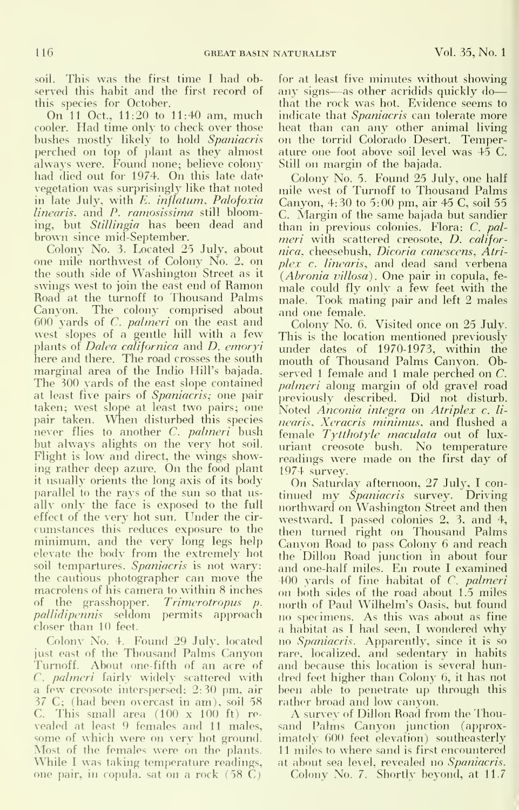soil. This was the first time I had observed this habit and the first record of this species for October.

On <sup>11</sup> Oct., 11:20 to 11:40 am, much cooler. Had time only to check over those bushes mostly likely to hold Spaniacris perched on top of plant as they almost always were. Found none; believe colony had died out for 1974. On this late date vegetation was surprisingly like that noted in late July, with E. inflatum, Palofoxia linearis, and P. ramosissima still blooming, but Stillingia has been dead and brown since mid-September.

Colony No. 3. Located 25 July, about one mile northwest of Colony No. 2, on the south side of Washington Street as it swings west to join the east end of Ramon Road at the turnoff to Thousand Palms Canyon. The colony comprised about 600 yards of C. palmeri on the east and west slopes of a gentle hill with a few This plants of *Dalea californica* and *D. emoryi* and here and there. The road crosses the south marginal area of the Indio Hill's bajada. The 300 yards of the east slope contained at least five pairs of Spaniacris; one pair taken; w^est slope at least two pairs; one pair taken. When disturbed this species never flies to another C. palmeri bush but always alights on the very hot soil. Flight is low and direct, the wings showing rather deep azure. On the food plant it usually orients the long axis of its body parallel to the rays of the sun so that us ally only the face is exposed to the full effect of the very hot sun. Under the cir cumstances this reduces exposure to the minimum, and the very long legs help elevate the body from the extremely hot soil tempartures. Spaniacris is not wary: the cautious photographer can move the macrolens of his camera to within 8 inches of the grasshopper. Trimerotropus p. pallidipennis seldom permits approach closer than 10 feet.

Colony No. 4. Found 29 July, located just east of the Thousand Palms (Canyon Turnoff. About one-fifth of an acre of C. palmeri fairly widely scattered with a few creosote interspersed;  $2:30$  pm, air been able to penetrate up t  $37 \text{ C}$ ; (had been overcast in am), soil  $58$  rather broad and low canyon. 37 C; (had been overcast in am), soil 58 C. This small area  $(100 \times 100 \text{ ft})$  revealed at least 9 females and 11 males, some of which were on very hot ground. Most of the females were on the plants. While <sup>I</sup> was taking temperature readings, one pair, in copula, sat on a rock (58 C)

for at least five minutes without showing any signs—as other acridids quickly do that the rock was hot. Evidence seems to indicate that *Spaniacris* can tolerate more heat than can any other animal living on the torrid Colorado Desert. Temperature one foot above soil level was 45 C. Still on margin of the bajada.

Colony No. 5. Found 25 July, one half mile west of Turnoff to Thousand Palms Canyon, 4:30 to 5:00 pm, air 45 C, soil 55 C. Margin of the same bajada but sandier than in previous colonies. Flora: C. pal meri with scattered creosote, D. califor nica, cheesebush, Dicoria canescens, Atri plex c. linearis, and dead sand verbena  $(Abronia$  villosa). One pair in copula, female could fly only a few feet with the male. Took mating pair and left 2 males and one female.

Colony No. 6. Visited once on 25 July. This is the location mentioned previously under dates of 1970-1973, within the mouth of Thousand Palms Canyon. Observed <sup>1</sup> female and <sup>1</sup> male perched on C. palmeri along margin of old gravel road previously described. Did not disturb. Noted Anconia integra on Atriplex c. linearis, Xeracris minimus, and flushed a female Tytthotyle maculata out of lux uriant creosote bush. No temperature readings were made on the first day of 1974 survey.

On Saturday afternoon, 27 July, <sup>I</sup> con tinued my Spaniacris survey. Driving northward on Washington Street and then westward, I passed colonies 2, 3, and 4, then turned right on Thousand Palms Canyon Road to pass Colony 6 and reach the Dillon Road junction in about four and one-half miles. En route <sup>I</sup> examined 400 yards of fine habitat of C. palmeri on both sides of the road about 1.5 miles north of Paul Wilhelm's Oasis, but found no specimens. As this was about as fine <sup>a</sup> habitat as <sup>I</sup> had seen, <sup>I</sup> wondered why no Spaniacris. Apparently, since it is so rare, localized, and sedentary in habits and because this location is several hundred feet higher than Colony 6, it has not been able to penetrate up through this

A survey of Dillon Road from the Thousand Palms Canyon junction (approximately 600 feet elevation) southeasterly 11 miles to where sand is first encountered at about sea level, revealed no Spaniacris.

Colony No. 7. Shortly beyond, at 11.7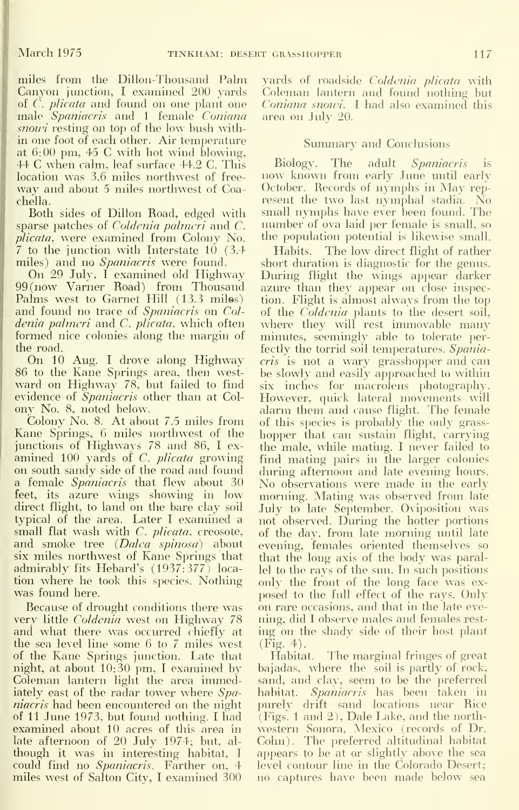miles from the Dillon-Thousand Palm Canyon junction, I examined 200 yards of  $\tilde{C}$ . *plicata* and found on one plant one male Spaniacris and 1 female Coniana snow resting on top of the low bush within one foot of each other. Air temperature at 6:00 pm, 45 C with hot wind blowing,<br>44 C when calm, leaf surface  $44.2$  C. This Biology. 44 C when calm, leaf surface 44.2 C. This location was 3.6 miles northwest of free way and about <sup>5</sup> miles northwest of Coachella.

Both sides of Dillon Road, edged with sparse patches of *Coldenia palmeri* and *C*. plicata, were examined from Colony No.  $\frac{7}{7}$  to the junction with Interstate 10 (3.4 Habits. miles) and no Spaniacris were found.

On 29 July, I examined old Highway 99 (now Vamer Road) from Thousand Palms west to Garnet Hill (13.3 miles) and found no trace of Spaniacris on Col denia palmeri and C. plicata, which often formed nice colonies along the margin of the road.

On 10 Aug. <sup>I</sup> drove along Highway 86 to the Kane Springs area, then west ward on Highway 78, but failed to find evidence of Spaniacris other than at Colony No. 8, noted below.

Colony No. 8. At about 7.5 miles from Kane Springs, 6 miles northwest of the junctions of Highways 78 and 86, <sup>I</sup> ex amined  $100$  yards of C. plicata growing on south sandy side of the road and found a female Spaniacris that flew about 30 feet, its azure wings showing in low direct flight, to land on the bare clay soil typical of the area. Later I examined a small flat wash with C. plicata, creosote, and smoke tree (Dalca spinosa) about six miles northwest of Kane Springs that admirably fits Hebard's (1937:377) loca tion where he took this species. Nothing was found here.

Because of drought conditions there was very little Coldenia west on Highway 78 and what there was occurred chiefly at the sea level line some 6 to 7 miles west of the Kane Springs junction. Late that night, at about 10:30 pm, <sup>I</sup> examined by Coleman lantern light the area immediately east of the radar tower where Spaniacris had been encountered on the night of 11 June 1973, but found nothing. <sup>I</sup> had examined about 10 acres of this area in late afternoon of 20 July 1974; but, al though it was in interesting habitat, <sup>I</sup> could find no Spaniacris. Farther on, 4 miles west of Salton City, <sup>I</sup> examined 300

yards of roadside Coldenia plicata with Coleman lantern and found nothing but Coniana snowi. <sup>I</sup> had also examined this area on July 20.

#### Summary and Conclusions

Biology. The adult Spaniacris is<br>now known from early June until early October. Records of nymphs in May represent the two last nymphal stadia. No small nymphs have ever been found. The number of ova laid per female is small, so the population potential is likewise small.

The low direct flight of rather short duration is diagnostic for the genus. During flight the wings appear darker azure than they appear on close inspection. Flight is almost always from the top of the Coldenia plants to the desert soil, where they will rest immovable many minutes, seemingly able to tolerate perfectly the torrid soil temperatures. Spaniacris is not a wary grasshopper and can be slowly and easily approached to within six inches for macrolens photography. However, quick lateral movements will alarm them and cause flight. The female of this species is probably the only grasshopper that can sustain flight, carrying the male, while mating. I never failed to find mating pairs in the larger colonies during afternoon and late evening hours. No observations were made in the early morning. Mating was observed from late July to late September. Oviposition was not observed. During the hotter portions of the day, from late morning until late evening, females oriented themselves so that the long axis of the body was parallel to the rays of the sun. In such positions only the front of the long face was exposed to the full effect of the rays. Only on rare occasions, and that in the late eve ning, did <sup>I</sup> observe males and females rest ing on the shady side of their host plant (Fig. 4).

Habitat. The marginal fringes of great bajadas, where the soil is partly of rock, sand, and clay, seem to be the preferred habitat. Spaniacris has been taken in purely drift sand locations near Rice (Figs. <sup>1</sup>and 2), Dale Lake, and the north western Sonora, Mexico (records of Dr. Cohn). The preferred altitudinal habitat appears to be at or slightly above the sea level contour line in the Colorado Desert; no captures have been made below sea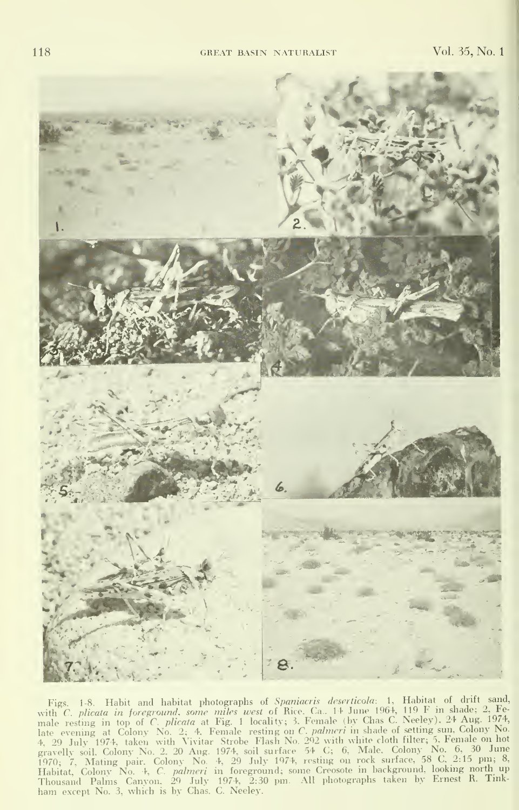

Figs. 1-8. Habit and habitat photographs of *Spaniacris deserticola*: 1, Habitat of drift sand, with C. *plicata* in foreground, some miles west of Rice, Ca. 1+ June 1964, 119 F in shade; 2, Fe-<br>male resting in top of C.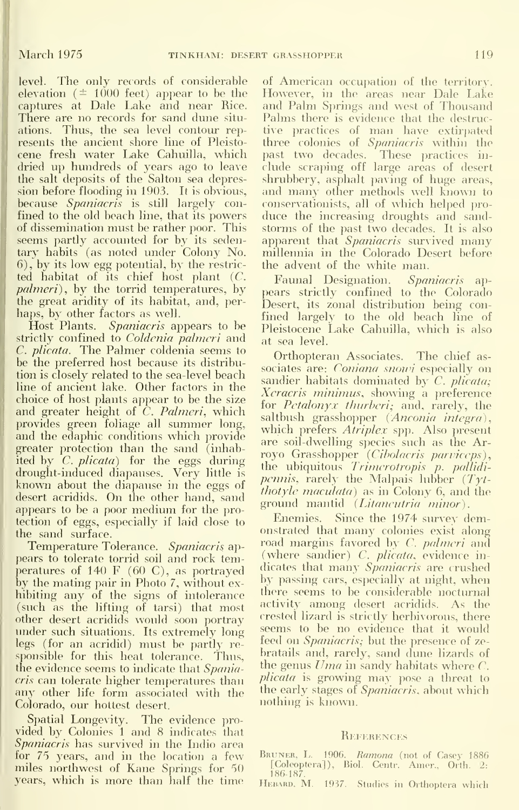level. The only records of considerable elevation ( $\pm$  1000 feet) appear to be the captures at Dale Lake and near Rice. There are no records for sand dune situ ations. Thus, the sea level contour represents the ancient shore line of Pleisto cene fresh water Lake Cahuilla, which dried up hundreds of years ago to leave the salt deposits of the Salton sea depression before flooding in 1903. It is obvious, because *Spaniacris* is still largely confined to the old beach line, that its powers of dissemination must be rather poor. This seems partly accounted for by its sedentary habits (as noted under Colony No.  $(6)$ , by its low egg potential, by the restricted habitat of its chief host plant (C. palmeri), by the torrid temperatures, by the great aridity of its habitat, and, per haps, by other factors as well.

Host Plants. Spaniacris appears to be strictly confined to Coldenia palmeri and C. plicata. The Palmer coldenia seems to be the preferred host because its distribution is closely related to the sea-level beach line of ancient lake. Other factors in the choice of host plants appear to be the size and greater height of C. Palmeri, which provides green foliage all summer long, and the edaphic conditions which provide greater protection than the sand (inhabited by C. *plicata*) for the eggs during drought-induced diapauses. Very little is known about the diapause in the eggs of desert acridids. On the other hand, sand appears to be <sup>a</sup> poor medium for the protection of eggs, especially if laid close to the sand surface.

Temperature Tolerance. Spaniacris appears to tolerate torrid soil and rock temperatures of 140 F (60 C), as portrayed by the mating pair in Photo 7, without ex-<br>hibiting any of the signs of intolerance the (such as the lifting of tarsi) that most other desert acridids would soon portray under such situations. Its extremely long legs (for an acridid) must be partly responsible for this heat tolerance. Thus, the evidence seems to indicate that Spaniacris can tolerate higher temperatures than any other life form associated with the Colorado, our hottest desert.

Spatial Longevity. The evidence pro vided by Colonies <sup>1</sup> and 8 indicates that Spaniacris has survived in the Indio area for 75 years, and in the location a few miles northwest of Kane Springs for 50 years, which is more than half the time

of American occupation of the territory. However, in the areas near Dale Lake and Palm Springs and west of Thousand Palms there is evidence that the destructive practices of man have extirpated three colonies of Spaniacris within the past two decades. These practices in clude scraping off large areas of desert shrubbery, asphalt paving of huge areas, and many other methods well known to conservationists, all of which helped pro duce the increasing droughts and sand storms of the past two decades. It is also apparent that Spaniacris survived many millennia in the Colorado Desert before the advent of the white man.

Faunal Designation. Spaniacris appears strictly confined to the Colorado Desert, its zonal distribution being con fined largely to the old beach line of Pleistocene Lake Cahuilla, which is also at sea level.

Orthopteran Associates. The chief as sociates are: *Coniana snowi* especially on sandier habitats dominated by C. plicata; Xeracris minimus, showing a preference for Petalonyx thurberi; and, rarely, the saltbush grasshopper *(Anconia integra)*. which prefers *Atriplex* spp. Also present are soil-dwelling species such as the Arroyo Grasshopper (Cibolacris parviceps), the ubiquitous Trimerotropis p. pallidi *pcnnis*, rarely the Malpais lubber  $(Tyt-)$ thotyle maculata) as in Colony 6, and the ground mantid (Litancutria minor).

Enemies. Since the 1974 survey demonstrated that many colonies exist along road margins favored by C. *palmeri* and (where sandier) *C. plicata*, evidence in-<br>dicates that many *Spaniacris* are crushed by passing cars, especially at night, when there seems to be considerable nocturnal activity among desert acridids. As the crested lizard is strictly herbivorous, there seems to be no evidence that it would feed on *Spaniacris*; but the presence of zebratails and, rarely, sand dune lizards of the genus  $U$ *ma* in sandy habitats where  $C$ . *plicata* is growing may pose a threat to the early stages of *Spaniacris*, about which nothing is known.

#### REFERENCES

- BRUNER, L. 1906. Ramona (not of Casey 1886 [Coleoptera]), Biol. Centr. Amer., Orth. 2: 186-187.
- HEBARD, M. 1937. Studies in Orthoptera which